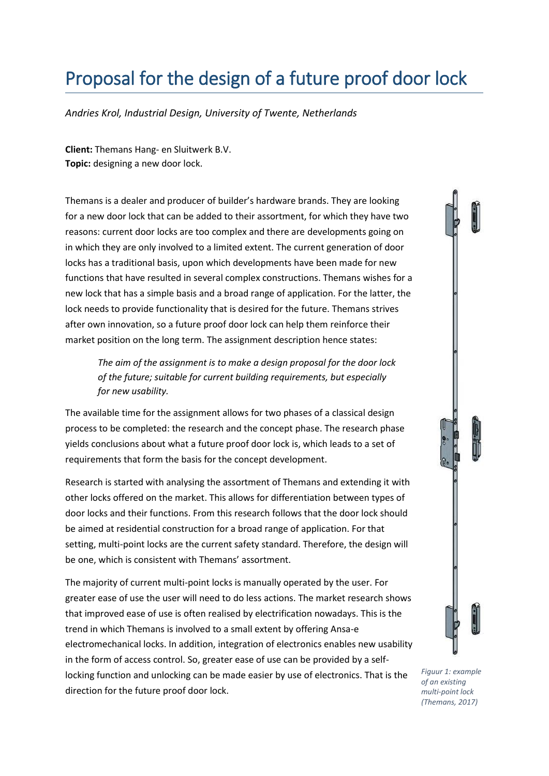## Proposal for the design of a future proof door lock

*Andries Krol, Industrial Design, University of Twente, Netherlands*

**Client:** Themans Hang- en Sluitwerk B.V. **Topic:** designing a new door lock.

Themans is a dealer and producer of builder's hardware brands. They are looking for a new door lock that can be added to their assortment, for which they have two reasons: current door locks are too complex and there are developments going on in which they are only involved to a limited extent. The current generation of door locks has a traditional basis, upon which developments have been made for new functions that have resulted in several complex constructions. Themans wishes for a new lock that has a simple basis and a broad range of application. For the latter, the lock needs to provide functionality that is desired for the future. Themans strives after own innovation, so a future proof door lock can help them reinforce their market position on the long term. The assignment description hence states:

*The aim of the assignment is to make a design proposal for the door lock of the future; suitable for current building requirements, but especially for new usability.*

The available time for the assignment allows for two phases of a classical design process to be completed: the research and the concept phase. The research phase yields conclusions about what a future proof door lock is, which leads to a set of requirements that form the basis for the concept development.

Research is started with analysing the assortment of Themans and extending it with other locks offered on the market. This allows for differentiation between types of door locks and their functions. From this research follows that the door lock should be aimed at residential construction for a broad range of application. For that setting, multi-point locks are the current safety standard. Therefore, the design will be one, which is consistent with Themans' assortment.

The majority of current multi-point locks is manually operated by the user. For greater ease of use the user will need to do less actions. The market research shows that improved ease of use is often realised by electrification nowadays. This is the trend in which Themans is involved to a small extent by offering Ansa-e electromechanical locks. In addition, integration of electronics enables new usability in the form of access control. So, greater ease of use can be provided by a selflocking function and unlocking can be made easier by use of electronics. That is the direction for the future proof door lock.

*Figuur 1: example of an existing multi-point lock (Themans, 2017)*